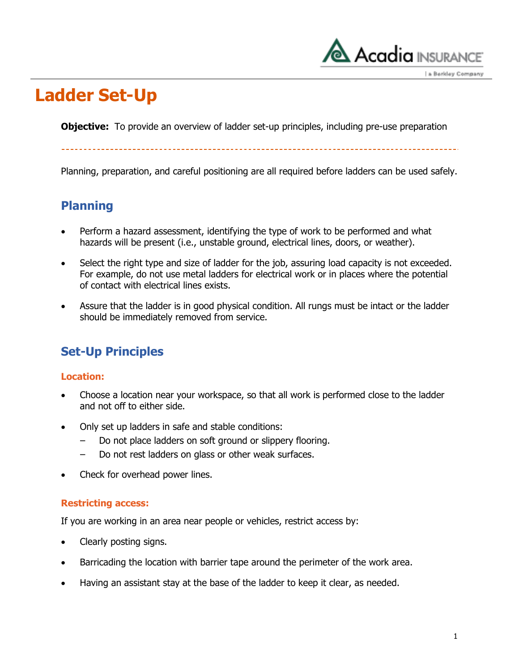

a Berkley Company

## **Ladder Set-Up**

**Objective:** To provide an overview of ladder set-up principles, including pre-use preparation

Planning, preparation, and careful positioning are all required before ladders can be used safely.

### **Planning**

- Perform a hazard assessment, identifying the type of work to be performed and what hazards will be present (i.e., unstable ground, electrical lines, doors, or weather).
- Select the right type and size of ladder for the job, assuring load capacity is not exceeded. For example, do not use metal ladders for electrical work or in places where the potential of contact with electrical lines exists.
- Assure that the ladder is in good physical condition. All rungs must be intact or the ladder should be immediately removed from service.

### **Set-Up Principles**

#### **Location:**

- Choose a location near your workspace, so that all work is performed close to the ladder and not off to either side.
- Only set up ladders in safe and stable conditions:
	- Do not place ladders on soft ground or slippery flooring.
	- ‒ Do not rest ladders on glass or other weak surfaces.
- Check for overhead power lines.

#### **Restricting access:**

If you are working in an area near people or vehicles, restrict access by:

- Clearly posting signs.
- Barricading the location with barrier tape around the perimeter of the work area.
- Having an assistant stay at the base of the ladder to keep it clear, as needed.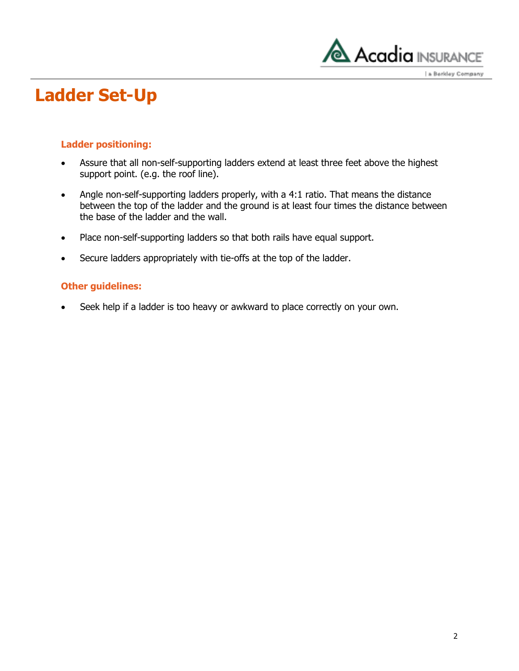

a Berkley Company

## **Ladder Set-Up**

#### **Ladder positioning:**

- Assure that all non-self-supporting ladders extend at least three feet above the highest support point. (e.g. the roof line).
- Angle non-self-supporting ladders properly, with a 4:1 ratio. That means the distance between the top of the ladder and the ground is at least four times the distance between the base of the ladder and the wall.
- Place non-self-supporting ladders so that both rails have equal support.
- Secure ladders appropriately with tie-offs at the top of the ladder.

#### **Other guidelines:**

Seek help if a ladder is too heavy or awkward to place correctly on your own.